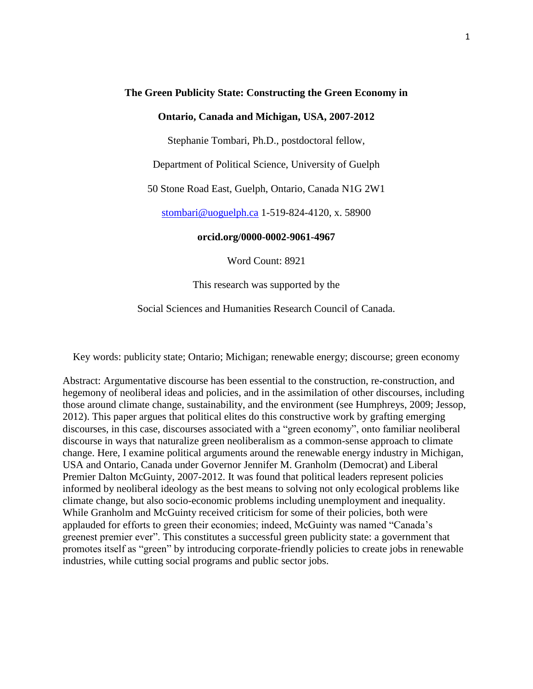#### **The Green Publicity State: Constructing the Green Economy in**

#### **Ontario, Canada and Michigan, USA, 2007-2012**

Stephanie Tombari, Ph.D., postdoctoral fellow,

Department of Political Science, University of Guelph

50 Stone Road East, Guelph, Ontario, Canada N1G 2W1

[stombari@uoguelph.ca](mailto:stombari@uoguelph.ca) 1-519-824-4120, x. 58900

**orcid.org/0000-0002-9061-4967**

Word Count: 8921

This research was supported by the

Social Sciences and Humanities Research Council of Canada.

Key words: publicity state; Ontario; Michigan; renewable energy; discourse; green economy

Abstract: Argumentative discourse has been essential to the construction, re-construction, and hegemony of neoliberal ideas and policies, and in the assimilation of other discourses, including those around climate change, sustainability, and the environment (see Humphreys, 2009; Jessop, 2012). This paper argues that political elites do this constructive work by grafting emerging discourses, in this case, discourses associated with a "green economy", onto familiar neoliberal discourse in ways that naturalize green neoliberalism as a common-sense approach to climate change. Here, I examine political arguments around the renewable energy industry in Michigan, USA and Ontario, Canada under Governor Jennifer M. Granholm (Democrat) and Liberal Premier Dalton McGuinty, 2007-2012. It was found that political leaders represent policies informed by neoliberal ideology as the best means to solving not only ecological problems like climate change, but also socio-economic problems including unemployment and inequality. While Granholm and McGuinty received criticism for some of their policies, both were applauded for efforts to green their economies; indeed, McGuinty was named "Canada's greenest premier ever". This constitutes a successful green publicity state: a government that promotes itself as "green" by introducing corporate-friendly policies to create jobs in renewable industries, while cutting social programs and public sector jobs.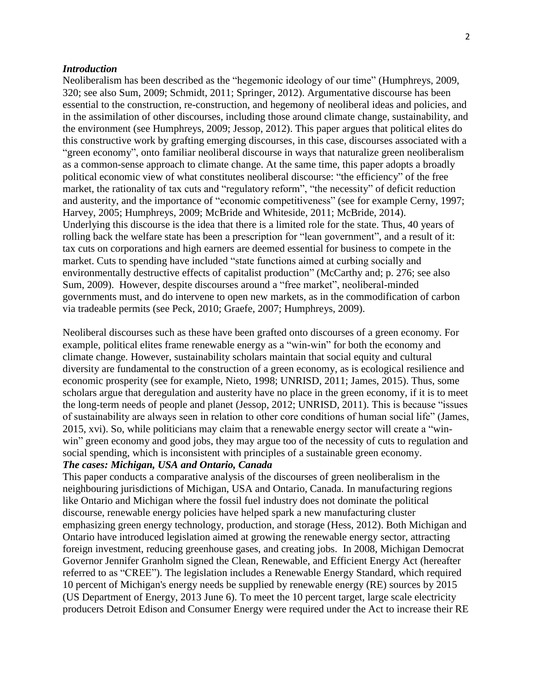#### *Introduction*

Neoliberalism has been described as the "hegemonic ideology of our time" (Humphreys, 2009, 320; see also Sum, 2009; Schmidt, 2011; Springer, 2012). Argumentative discourse has been essential to the construction, re-construction, and hegemony of neoliberal ideas and policies, and in the assimilation of other discourses, including those around climate change, sustainability, and the environment (see Humphreys, 2009; Jessop, 2012). This paper argues that political elites do this constructive work by grafting emerging discourses, in this case, discourses associated with a "green economy", onto familiar neoliberal discourse in ways that naturalize green neoliberalism as a common-sense approach to climate change. At the same time, this paper adopts a broadly political economic view of what constitutes neoliberal discourse: "the efficiency" of the free market, the rationality of tax cuts and "regulatory reform", "the necessity" of deficit reduction and austerity, and the importance of "economic competitiveness" (see for example Cerny, 1997; Harvey, 2005; Humphreys, 2009; McBride and Whiteside, 2011; McBride, 2014). Underlying this discourse is the idea that there is a limited role for the state. Thus, 40 years of rolling back the welfare state has been a prescription for "lean government", and a result of it: tax cuts on corporations and high earners are deemed essential for business to compete in the market. Cuts to spending have included "state functions aimed at curbing socially and environmentally destructive effects of capitalist production" (McCarthy and; p. 276; see also Sum, 2009). However, despite discourses around a "free market", neoliberal-minded governments must, and do intervene to open new markets, as in the commodification of carbon via tradeable permits (see Peck, 2010; Graefe, 2007; Humphreys, 2009).

Neoliberal discourses such as these have been grafted onto discourses of a green economy. For example, political elites frame renewable energy as a "win-win" for both the economy and climate change. However, sustainability scholars maintain that social equity and cultural diversity are fundamental to the construction of a green economy, as is ecological resilience and economic prosperity (see for example, Nieto, 1998; UNRISD, 2011; James, 2015). Thus, some scholars argue that deregulation and austerity have no place in the green economy, if it is to meet the long-term needs of people and planet (Jessop, 2012; UNRISD, 2011). This is because "issues of sustainability are always seen in relation to other core conditions of human social life" (James, 2015, xvi). So, while politicians may claim that a renewable energy sector will create a "winwin" green economy and good jobs, they may argue too of the necessity of cuts to regulation and social spending, which is inconsistent with principles of a sustainable green economy.

# *The cases: Michigan, USA and Ontario, Canada*

This paper conducts a comparative analysis of the discourses of green neoliberalism in the neighbouring jurisdictions of Michigan, USA and Ontario, Canada. In manufacturing regions like Ontario and Michigan where the fossil fuel industry does not dominate the political discourse, renewable energy policies have helped spark a new manufacturing cluster emphasizing green energy technology, production, and storage (Hess, 2012). Both Michigan and Ontario have introduced legislation aimed at growing the renewable energy sector, attracting foreign investment, reducing greenhouse gases, and creating jobs. In 2008, Michigan Democrat Governor Jennifer Granholm signed the Clean, Renewable, and Efficient Energy Act (hereafter referred to as "CREE"). The legislation includes a Renewable Energy Standard, which required 10 percent of Michigan's energy needs be supplied by renewable energy (RE) sources by 2015 (US Department of Energy, 2013 June 6). To meet the 10 percent target, large scale electricity producers Detroit Edison and Consumer Energy were required under the Act to increase their RE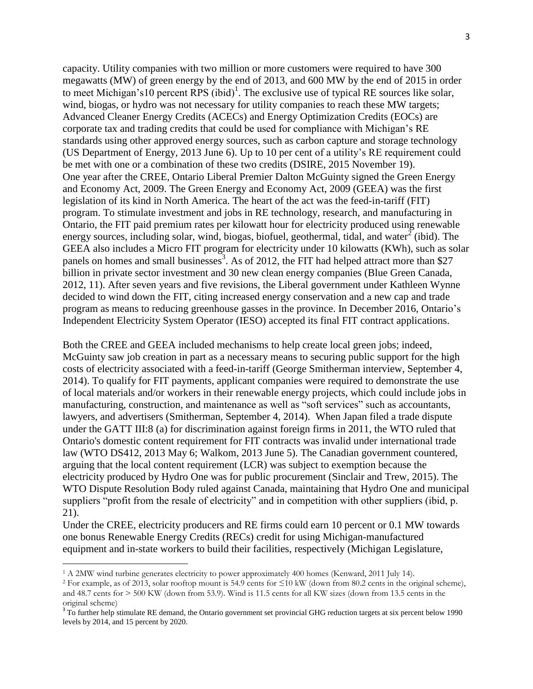capacity. Utility companies with two million or more customers were required to have 300 megawatts (MW) of green energy by the end of 2013, and 600 MW by the end of 2015 in order to meet Michigan's10 percent RPS (ibid)<sup>1</sup>. The exclusive use of typical RE sources like solar, wind, biogas, or hydro was not necessary for utility companies to reach these MW targets; Advanced Cleaner Energy Credits (ACECs) and Energy Optimization Credits (EOCs) are corporate tax and trading credits that could be used for compliance with Michigan's RE standards using other approved energy sources, such as carbon capture and storage technology (US Department of Energy, 2013 June 6). Up to 10 per cent of a utility's RE requirement could be met with one or a combination of these two credits (DSIRE, 2015 November 19). One year after the CREE, Ontario Liberal Premier Dalton McGuinty signed the Green Energy and Economy Act, 2009. The Green Energy and Economy Act, 2009 (GEEA) was the first legislation of its kind in North America. The heart of the act was the feed-in-tariff (FIT) program. To stimulate investment and jobs in RE technology, research, and manufacturing in Ontario, the FIT paid premium rates per kilowatt hour for electricity produced using renewable energy sources, including solar, wind, biogas, biofuel, geothermal, tidal, and water<sup>2</sup> (ibid). The GEEA also includes a Micro FIT program for electricity under 10 kilowatts (KWh), such as solar panels on homes and small businesses<sup>3</sup>. As of 2012, the FIT had helped attract more than \$27 billion in private sector investment and 30 new clean energy companies (Blue Green Canada, 2012, 11). After seven years and five revisions, the Liberal government under Kathleen Wynne decided to wind down the FIT, citing increased energy conservation and a new cap and trade program as means to reducing greenhouse gasses in the province. In December 2016, Ontario's Independent Electricity System Operator (IESO) accepted its final FIT contract applications.

Both the CREE and GEEA included mechanisms to help create local green jobs; indeed, McGuinty saw job creation in part as a necessary means to securing public support for the high costs of electricity associated with a feed-in-tariff (George Smitherman interview, September 4, 2014). To qualify for FIT payments, applicant companies were required to demonstrate the use of local materials and/or workers in their renewable energy projects, which could include jobs in manufacturing, construction, and maintenance as well as "soft services" such as accountants, lawyers, and advertisers (Smitherman, September 4, 2014). When Japan filed a trade dispute under the GATT III:8 (a) for discrimination against foreign firms in 2011, the WTO ruled that Ontario's domestic content requirement for FIT contracts was invalid under international trade law (WTO DS412, 2013 May 6; Walkom, 2013 June 5). The Canadian government countered, arguing that the local content requirement (LCR) was subject to exemption because the electricity produced by Hydro One was for public procurement (Sinclair and Trew, 2015). The WTO Dispute Resolution Body ruled against Canada, maintaining that Hydro One and municipal suppliers "profit from the resale of electricity" and in competition with other suppliers (ibid, p. 21).

Under the CREE, electricity producers and RE firms could earn 10 percent or 0.1 MW towards one bonus Renewable Energy Credits (RECs) credit for using Michigan-manufactured equipment and in-state workers to build their facilities, respectively (Michigan Legislature,

l

<sup>1</sup> A 2MW wind turbine generates electricity to power approximately 400 homes (Kenward, 2011 July 14).

<sup>2</sup> For example, as of 2013, solar rooftop mount is 54.9 cents for ≤10 kW (down from 80.2 cents in the original scheme), and 48.7 cents for > 500 KW (down from 53.9). Wind is 11.5 cents for all KW sizes (down from 13.5 cents in the original scheme)

 $3$  To further help stimulate RE demand, the Ontario government set provincial GHG reduction targets at six percent below 1990 levels by 2014, and 15 percent by 2020.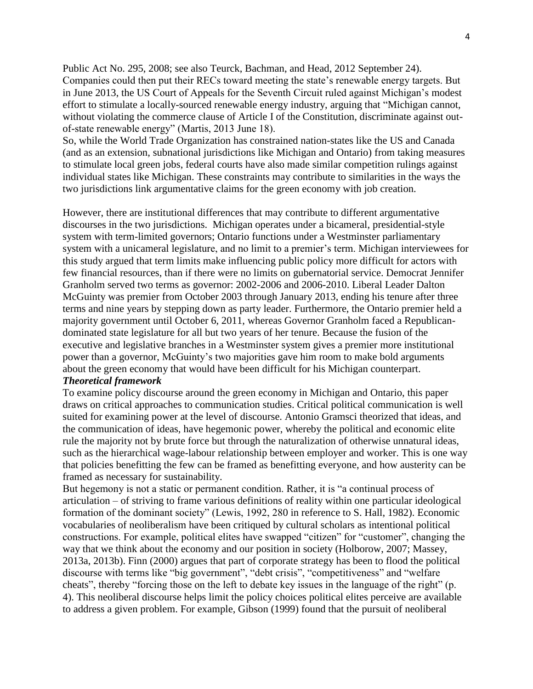Public Act No. 295, 2008; see also Teurck, Bachman, and Head, 2012 September 24). Companies could then put their RECs toward meeting the state's renewable energy targets. But in June 2013, the US Court of Appeals for the Seventh Circuit ruled against Michigan's modest effort to stimulate a locally-sourced renewable energy industry, arguing that "Michigan cannot, without violating the commerce clause of Article I of the Constitution, discriminate against outof-state renewable energy" (Martis, 2013 June 18).

So, while the World Trade Organization has constrained nation-states like the US and Canada (and as an extension, subnational jurisdictions like Michigan and Ontario) from taking measures to stimulate local green jobs, federal courts have also made similar competition rulings against individual states like Michigan. These constraints may contribute to similarities in the ways the two jurisdictions link argumentative claims for the green economy with job creation.

However, there are institutional differences that may contribute to different argumentative discourses in the two jurisdictions. Michigan operates under a bicameral, presidential-style system with term-limited governors; Ontario functions under a Westminster parliamentary system with a unicameral legislature, and no limit to a premier's term. Michigan interviewees for this study argued that term limits make influencing public policy more difficult for actors with few financial resources, than if there were no limits on gubernatorial service. Democrat Jennifer Granholm served two terms as governor: 2002-2006 and 2006-2010. Liberal Leader Dalton McGuinty was premier from October 2003 through January 2013, ending his tenure after three terms and nine years by stepping down as party leader. Furthermore, the Ontario premier held a majority government until October 6, 2011, whereas Governor Granholm faced a Republicandominated state legislature for all but two years of her tenure. Because the fusion of the executive and legislative branches in a Westminster system gives a premier more institutional power than a governor, McGuinty's two majorities gave him room to make bold arguments about the green economy that would have been difficult for his Michigan counterpart.

## *Theoretical framework*

To examine policy discourse around the green economy in Michigan and Ontario, this paper draws on critical approaches to communication studies. Critical political communication is well suited for examining power at the level of discourse. Antonio Gramsci theorized that ideas, and the communication of ideas, have hegemonic power, whereby the political and economic elite rule the majority not by brute force but through the naturalization of otherwise unnatural ideas, such as the hierarchical wage-labour relationship between employer and worker. This is one way that policies benefitting the few can be framed as benefitting everyone, and how austerity can be framed as necessary for sustainability.

But hegemony is not a static or permanent condition. Rather, it is "a continual process of articulation – of striving to frame various definitions of reality within one particular ideological formation of the dominant society" (Lewis, 1992, 280 in reference to S. Hall, 1982). Economic vocabularies of neoliberalism have been critiqued by cultural scholars as intentional political constructions. For example, political elites have swapped "citizen" for "customer", changing the way that we think about the economy and our position in society (Holborow, 2007; Massey, 2013a, 2013b). Finn (2000) argues that part of corporate strategy has been to flood the political discourse with terms like "big government", "debt crisis", "competitiveness" and "welfare cheats", thereby "forcing those on the left to debate key issues in the language of the right" (p. 4). This neoliberal discourse helps limit the policy choices political elites perceive are available to address a given problem. For example, Gibson (1999) found that the pursuit of neoliberal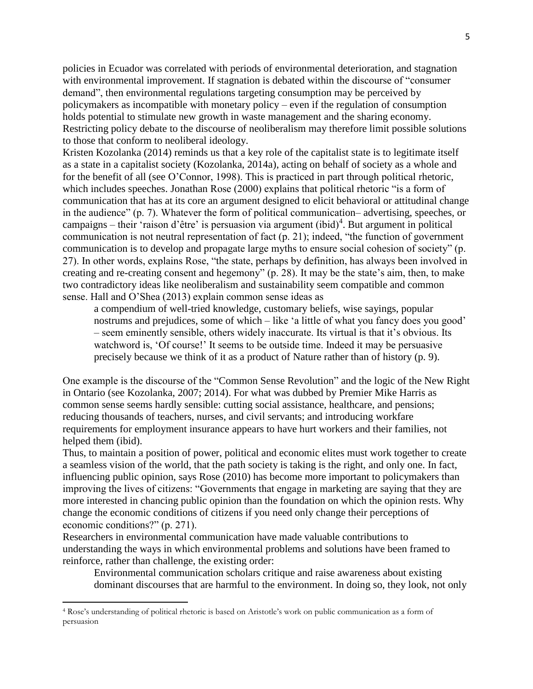policies in Ecuador was correlated with periods of environmental deterioration, and stagnation with environmental improvement. If stagnation is debated within the discourse of "consumer demand", then environmental regulations targeting consumption may be perceived by policymakers as incompatible with monetary policy – even if the regulation of consumption holds potential to stimulate new growth in waste management and the sharing economy. Restricting policy debate to the discourse of neoliberalism may therefore limit possible solutions to those that conform to neoliberal ideology.

Kristen Kozolanka (2014) reminds us that a key role of the capitalist state is to legitimate itself as a state in a capitalist society (Kozolanka, 2014a), acting on behalf of society as a whole and for the benefit of all (see O'Connor, 1998). This is practiced in part through political rhetoric, which includes speeches. Jonathan Rose (2000) explains that political rhetoric "is a form of communication that has at its core an argument designed to elicit behavioral or attitudinal change in the audience" (p. 7). Whatever the form of political communication– advertising, speeches, or  $campaigns - their 'raison d'être' is person via argument (ibid)<sup>4</sup>. But argument in political$ communication is not neutral representation of fact (p. 21); indeed, "the function of government communication is to develop and propagate large myths to ensure social cohesion of society" (p. 27). In other words, explains Rose, "the state, perhaps by definition, has always been involved in creating and re-creating consent and hegemony" (p. 28). It may be the state's aim, then, to make two contradictory ideas like neoliberalism and sustainability seem compatible and common sense. Hall and O'Shea (2013) explain common sense ideas as

a compendium of well-tried knowledge, customary beliefs, wise sayings, popular nostrums and prejudices, some of which – like 'a little of what you fancy does you good' – seem eminently sensible, others widely inaccurate. Its virtual is that it's obvious. Its watchword is, 'Of course!' It seems to be outside time. Indeed it may be persuasive precisely because we think of it as a product of Nature rather than of history (p. 9).

One example is the discourse of the "Common Sense Revolution" and the logic of the New Right in Ontario (see Kozolanka, 2007; 2014). For what was dubbed by Premier Mike Harris as common sense seems hardly sensible: cutting social assistance, healthcare, and pensions; reducing thousands of teachers, nurses, and civil servants; and introducing workfare requirements for employment insurance appears to have hurt workers and their families, not helped them (ibid).

Thus, to maintain a position of power, political and economic elites must work together to create a seamless vision of the world, that the path society is taking is the right, and only one. In fact, influencing public opinion, says Rose (2010) has become more important to policymakers than improving the lives of citizens: "Governments that engage in marketing are saying that they are more interested in chancing public opinion than the foundation on which the opinion rests. Why change the economic conditions of citizens if you need only change their perceptions of economic conditions?" (p. 271).

Researchers in environmental communication have made valuable contributions to understanding the ways in which environmental problems and solutions have been framed to reinforce, rather than challenge, the existing order:

Environmental communication scholars critique and raise awareness about existing dominant discourses that are harmful to the environment. In doing so, they look, not only

 $\overline{\phantom{a}}$ 

<sup>4</sup> Rose's understanding of political rhetoric is based on Aristotle's work on public communication as a form of persuasion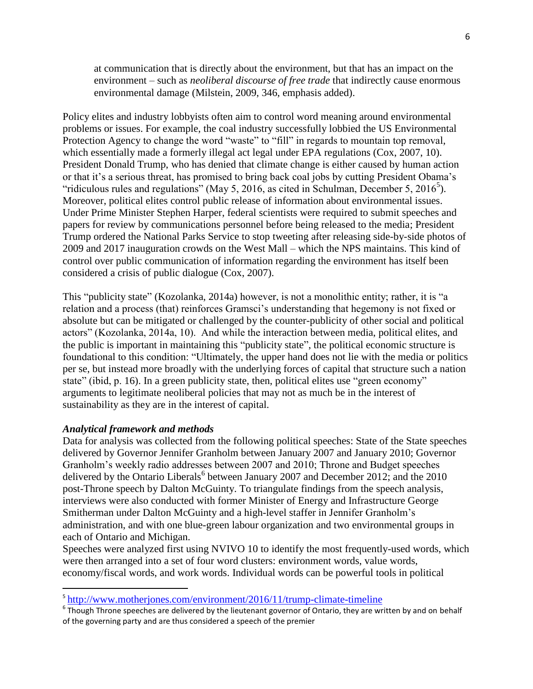at communication that is directly about the environment, but that has an impact on the environment – such as *neoliberal discourse of free trade* that indirectly cause enormous environmental damage (Milstein, 2009, 346, emphasis added).

Policy elites and industry lobbyists often aim to control word meaning around environmental problems or issues. For example, the coal industry successfully lobbied the US Environmental Protection Agency to change the word "waste" to "fill" in regards to mountain top removal, which essentially made a formerly illegal act legal under EPA regulations (Cox, 2007, 10). President Donald Trump, who has denied that climate change is either caused by human action or that it's a serious threat, has promised to bring back coal jobs by cutting President Obama's "ridiculous rules and regulations" (May 5, 2016, as cited in Schulman, December 5, 2016<sup>5</sup>). Moreover, political elites control public release of information about environmental issues. Under Prime Minister Stephen Harper, federal scientists were required to submit speeches and papers for review by communications personnel before being released to the media; President Trump ordered the National Parks Service to stop tweeting after releasing side-by-side photos of 2009 and 2017 inauguration crowds on the West Mall – which the NPS maintains. This kind of control over public communication of information regarding the environment has itself been considered a crisis of public dialogue (Cox, 2007).

This "publicity state" (Kozolanka, 2014a) however, is not a monolithic entity; rather, it is "a relation and a process (that) reinforces Gramsci's understanding that hegemony is not fixed or absolute but can be mitigated or challenged by the counter-publicity of other social and political actors" (Kozolanka, 2014a, 10). And while the interaction between media, political elites, and the public is important in maintaining this "publicity state", the political economic structure is foundational to this condition: "Ultimately, the upper hand does not lie with the media or politics per se, but instead more broadly with the underlying forces of capital that structure such a nation state" (ibid, p. 16). In a green publicity state, then, political elites use "green economy" arguments to legitimate neoliberal policies that may not as much be in the interest of sustainability as they are in the interest of capital.

### *Analytical framework and methods*

 $\overline{a}$ 

Data for analysis was collected from the following political speeches: State of the State speeches delivered by Governor Jennifer Granholm between January 2007 and January 2010; Governor Granholm's weekly radio addresses between 2007 and 2010; Throne and Budget speeches delivered by the Ontario Liberals<sup>6</sup> between January 2007 and December 2012; and the 2010 post-Throne speech by Dalton McGuinty. To triangulate findings from the speech analysis, interviews were also conducted with former Minister of Energy and Infrastructure George Smitherman under Dalton McGuinty and a high-level staffer in Jennifer Granholm's administration, and with one blue-green labour organization and two environmental groups in each of Ontario and Michigan.

Speeches were analyzed first using NVIVO 10 to identify the most frequently-used words, which were then arranged into a set of four word clusters: environment words, value words, economy/fiscal words, and work words. Individual words can be powerful tools in political

<sup>&</sup>lt;sup>5</sup><http://www.motherjones.com/environment/2016/11/trump-climate-timeline>

 $^6$  Though Throne speeches are delivered by the lieutenant governor of Ontario, they are written by and on behalf of the governing party and are thus considered a speech of the premier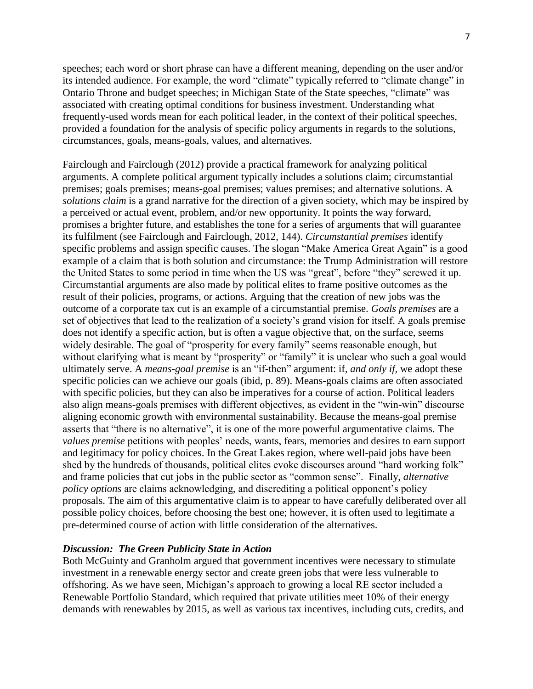speeches; each word or short phrase can have a different meaning, depending on the user and/or its intended audience. For example, the word "climate" typically referred to "climate change" in Ontario Throne and budget speeches; in Michigan State of the State speeches, "climate" was associated with creating optimal conditions for business investment. Understanding what frequently-used words mean for each political leader, in the context of their political speeches, provided a foundation for the analysis of specific policy arguments in regards to the solutions, circumstances, goals, means-goals, values, and alternatives.

Fairclough and Fairclough (2012) provide a practical framework for analyzing political arguments. A complete political argument typically includes a solutions claim; circumstantial premises; goals premises; means-goal premises; values premises; and alternative solutions. A *solutions claim* is a grand narrative for the direction of a given society, which may be inspired by a perceived or actual event, problem, and/or new opportunity. It points the way forward, promises a brighter future, and establishes the tone for a series of arguments that will guarantee its fulfilment (see Fairclough and Fairclough, 2012, 144). *Circumstantial premises* identify specific problems and assign specific causes. The slogan "Make America Great Again" is a good example of a claim that is both solution and circumstance: the Trump Administration will restore the United States to some period in time when the US was "great", before "they" screwed it up. Circumstantial arguments are also made by political elites to frame positive outcomes as the result of their policies, programs, or actions. Arguing that the creation of new jobs was the outcome of a corporate tax cut is an example of a circumstantial premise. *Goals premises* are a set of objectives that lead to the realization of a society's grand vision for itself. A goals premise does not identify a specific action, but is often a vague objective that, on the surface, seems widely desirable. The goal of "prosperity for every family" seems reasonable enough, but without clarifying what is meant by "prosperity" or "family" it is unclear who such a goal would ultimately serve. A *means-goal premise* is an "if-then" argument: if, *and only if,* we adopt these specific policies can we achieve our goals (ibid, p. 89). Means-goals claims are often associated with specific policies, but they can also be imperatives for a course of action. Political leaders also align means-goals premises with different objectives, as evident in the "win-win" discourse aligning economic growth with environmental sustainability. Because the means-goal premise asserts that "there is no alternative", it is one of the more powerful argumentative claims. The *values premise* petitions with peoples' needs, wants, fears, memories and desires to earn support and legitimacy for policy choices. In the Great Lakes region, where well-paid jobs have been shed by the hundreds of thousands, political elites evoke discourses around "hard working folk" and frame policies that cut jobs in the public sector as "common sense". Finally, *alternative policy options* are claims acknowledging, and discrediting a political opponent's policy proposals. The aim of this argumentative claim is to appear to have carefully deliberated over all possible policy choices, before choosing the best one; however, it is often used to legitimate a pre-determined course of action with little consideration of the alternatives.

### *Discussion: The Green Publicity State in Action*

Both McGuinty and Granholm argued that government incentives were necessary to stimulate investment in a renewable energy sector and create green jobs that were less vulnerable to offshoring. As we have seen, Michigan's approach to growing a local RE sector included a Renewable Portfolio Standard, which required that private utilities meet 10% of their energy demands with renewables by 2015, as well as various tax incentives, including cuts, credits, and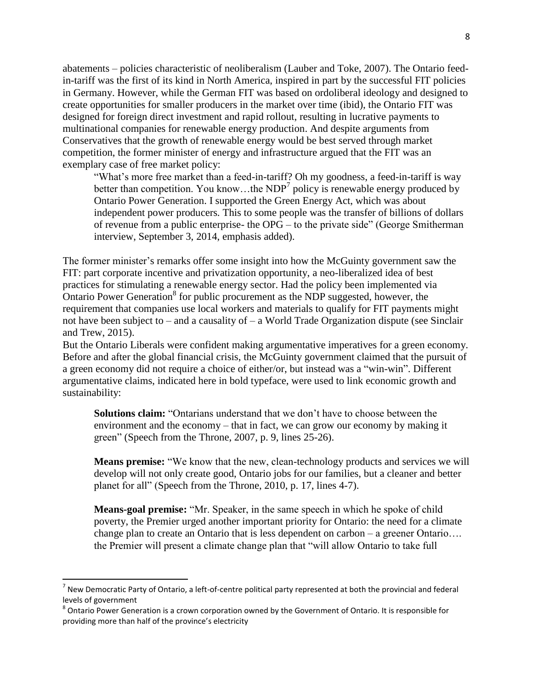abatements – policies characteristic of neoliberalism (Lauber and Toke, 2007). The Ontario feedin-tariff was the first of its kind in North America, inspired in part by the successful FIT policies in Germany. However, while the German FIT was based on ordoliberal ideology and designed to create opportunities for smaller producers in the market over time (ibid), the Ontario FIT was designed for foreign direct investment and rapid rollout, resulting in lucrative payments to multinational companies for renewable energy production. And despite arguments from Conservatives that the growth of renewable energy would be best served through market competition, the former minister of energy and infrastructure argued that the FIT was an exemplary case of free market policy:

"What's more free market than a feed-in-tariff? Oh my goodness, a feed-in-tariff is way better than competition. You know...the  $NDP<sup>7</sup>$  policy is renewable energy produced by Ontario Power Generation. I supported the Green Energy Act, which was about independent power producers*.* This to some people was the transfer of billions of dollars of revenue from a public enterprise- the OPG – to the private side" (George Smitherman interview, September 3, 2014, emphasis added).

The former minister's remarks offer some insight into how the McGuinty government saw the FIT: part corporate incentive and privatization opportunity, a neo-liberalized idea of best practices for stimulating a renewable energy sector. Had the policy been implemented via Ontario Power Generation $8$  for public procurement as the NDP suggested, however, the requirement that companies use local workers and materials to qualify for FIT payments might not have been subject to – and a causality of – a World Trade Organization dispute (see Sinclair and Trew, 2015).

But the Ontario Liberals were confident making argumentative imperatives for a green economy. Before and after the global financial crisis, the McGuinty government claimed that the pursuit of a green economy did not require a choice of either/or, but instead was a "win-win". Different argumentative claims, indicated here in bold typeface, were used to link economic growth and sustainability:

**Solutions claim:** "Ontarians understand that we don't have to choose between the environment and the economy – that in fact, we can grow our economy by making it green" (Speech from the Throne, 2007, p. 9, lines 25-26).

**Means premise:** "We know that the new, clean-technology products and services we will develop will not only create good, Ontario jobs for our families, but a cleaner and better planet for all" (Speech from the Throne, 2010, p. 17, lines 4-7).

**Means-goal premise:** "Mr. Speaker, in the same speech in which he spoke of child poverty, the Premier urged another important priority for Ontario: the need for a climate change plan to create an Ontario that is less dependent on carbon – a greener Ontario…. the Premier will present a climate change plan that "will allow Ontario to take full

 $\overline{a}$ 

 $^7$  New Democratic Party of Ontario, a left-of-centre political party represented at both the provincial and federal levels of government

 $^8$  Ontario Power Generation is a crown corporation owned by the Government of Ontario. It is responsible for providing more than half of the province's electricity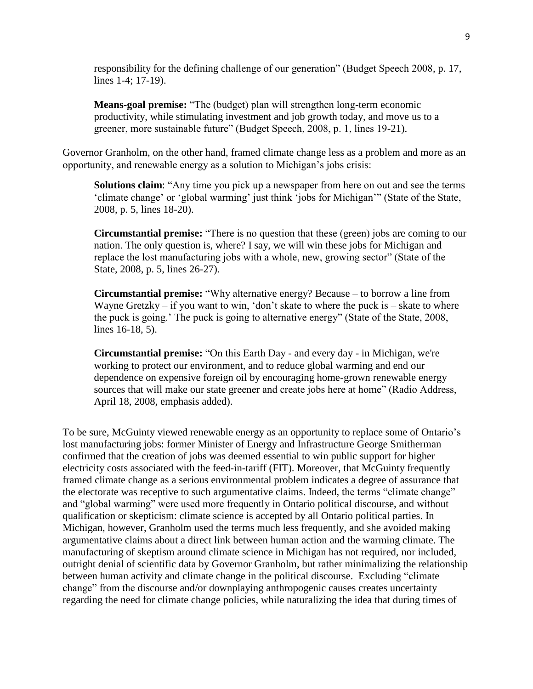responsibility for the defining challenge of our generation" (Budget Speech 2008, p. 17, lines 1-4; 17-19).

**Means-goal premise:** "The (budget) plan will strengthen long-term economic productivity, while stimulating investment and job growth today, and move us to a greener, more sustainable future" (Budget Speech, 2008, p. 1, lines 19-21).

Governor Granholm, on the other hand, framed climate change less as a problem and more as an opportunity, and renewable energy as a solution to Michigan's jobs crisis:

**Solutions claim**: "Any time you pick up a newspaper from here on out and see the terms 'climate change' or 'global warming' just think 'jobs for Michigan'" (State of the State, 2008, p. 5, lines 18-20).

**Circumstantial premise:** "There is no question that these (green) jobs are coming to our nation. The only question is, where? I say, we will win these jobs for Michigan and replace the lost manufacturing jobs with a whole, new, growing sector" (State of the State, 2008, p. 5, lines 26-27).

**Circumstantial premise:** "Why alternative energy? Because – to borrow a line from Wayne Gretzky – if you want to win, 'don't skate to where the puck is  $-$  skate to where the puck is going.' The puck is going to alternative energy" (State of the State, 2008, lines 16-18, 5).

**Circumstantial premise:** "On this Earth Day - and every day - in Michigan, we're working to protect our environment, and to reduce global warming and end our dependence on expensive foreign oil by encouraging home-grown renewable energy sources that will make our state greener and create jobs here at home" (Radio Address, April 18, 2008, emphasis added).

To be sure, McGuinty viewed renewable energy as an opportunity to replace some of Ontario's lost manufacturing jobs: former Minister of Energy and Infrastructure George Smitherman confirmed that the creation of jobs was deemed essential to win public support for higher electricity costs associated with the feed-in-tariff (FIT). Moreover, that McGuinty frequently framed climate change as a serious environmental problem indicates a degree of assurance that the electorate was receptive to such argumentative claims. Indeed, the terms "climate change" and "global warming" were used more frequently in Ontario political discourse, and without qualification or skepticism: climate science is accepted by all Ontario political parties. In Michigan, however, Granholm used the terms much less frequently, and she avoided making argumentative claims about a direct link between human action and the warming climate. The manufacturing of skeptism around climate science in Michigan has not required, nor included, outright denial of scientific data by Governor Granholm, but rather minimalizing the relationship between human activity and climate change in the political discourse. Excluding "climate change" from the discourse and/or downplaying anthropogenic causes creates uncertainty regarding the need for climate change policies, while naturalizing the idea that during times of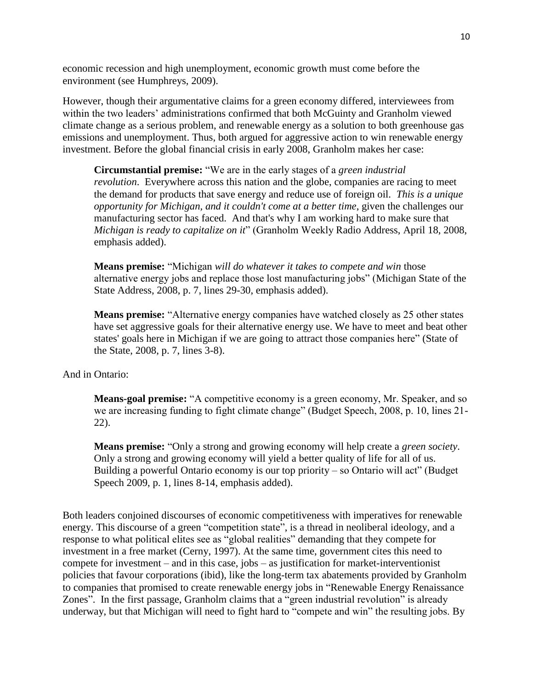economic recession and high unemployment, economic growth must come before the environment (see Humphreys, 2009).

However, though their argumentative claims for a green economy differed, interviewees from within the two leaders' administrations confirmed that both McGuinty and Granholm viewed climate change as a serious problem, and renewable energy as a solution to both greenhouse gas emissions and unemployment. Thus, both argued for aggressive action to win renewable energy investment. Before the global financial crisis in early 2008, Granholm makes her case:

**Circumstantial premise:** "We are in the early stages of a *green industrial revolution*. Everywhere across this nation and the globe, companies are racing to meet the demand for products that save energy and reduce use of foreign oil. *This is a unique opportunity for Michigan, and it couldn't come at a better time*, given the challenges our manufacturing sector has faced. And that's why I am working hard to make sure that *Michigan is ready to capitalize on it*" (Granholm Weekly Radio Address, April 18, 2008, emphasis added).

**Means premise:** "Michigan *will do whatever it takes to compete and win* those alternative energy jobs and replace those lost manufacturing jobs" (Michigan State of the State Address, 2008, p. 7, lines 29-30, emphasis added).

**Means premise:** "Alternative energy companies have watched closely as 25 other states have set aggressive goals for their alternative energy use. We have to meet and beat other states' goals here in Michigan if we are going to attract those companies here" (State of the State, 2008, p. 7, lines 3-8).

And in Ontario:

**Means-goal premise:** "A competitive economy is a green economy, Mr. Speaker, and so we are increasing funding to fight climate change" (Budget Speech, 2008, p. 10, lines 21- 22).

**Means premise:** "Only a strong and growing economy will help create a *green society*. Only a strong and growing economy will yield a better quality of life for all of us. Building a powerful Ontario economy is our top priority – so Ontario will act" (Budget Speech 2009, p. 1, lines 8-14, emphasis added).

Both leaders conjoined discourses of economic competitiveness with imperatives for renewable energy. This discourse of a green "competition state", is a thread in neoliberal ideology, and a response to what political elites see as "global realities" demanding that they compete for investment in a free market (Cerny, 1997). At the same time, government cites this need to compete for investment – and in this case, jobs – as justification for market-interventionist policies that favour corporations (ibid), like the long-term tax abatements provided by Granholm to companies that promised to create renewable energy jobs in "Renewable Energy Renaissance Zones". In the first passage, Granholm claims that a "green industrial revolution" is already underway, but that Michigan will need to fight hard to "compete and win" the resulting jobs. By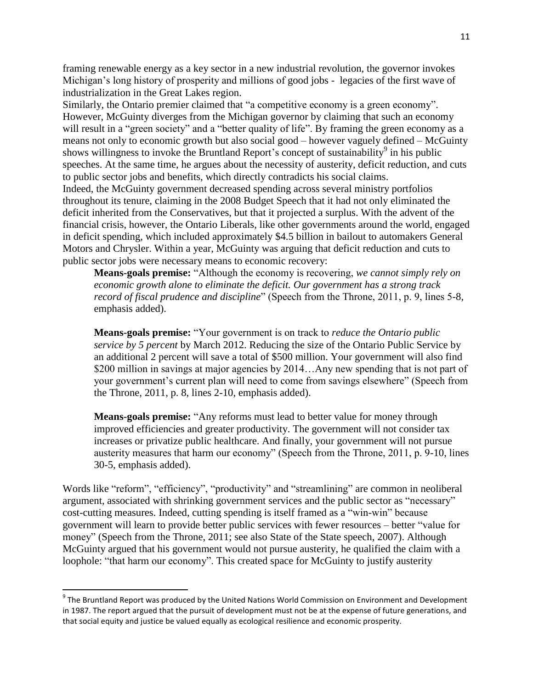framing renewable energy as a key sector in a new industrial revolution, the governor invokes Michigan's long history of prosperity and millions of good jobs - legacies of the first wave of industrialization in the Great Lakes region.

Similarly, the Ontario premier claimed that "a competitive economy is a green economy". However, McGuinty diverges from the Michigan governor by claiming that such an economy will result in a "green society" and a "better quality of life". By framing the green economy as a means not only to economic growth but also social good – however vaguely defined – McGuinty shows willingness to invoke the Bruntland Report's concept of sustainability<sup>9</sup> in his public speeches. At the same time, he argues about the necessity of austerity, deficit reduction, and cuts to public sector jobs and benefits, which directly contradicts his social claims. Indeed, the McGuinty government decreased spending across several ministry portfolios throughout its tenure, claiming in the 2008 Budget Speech that it had not only eliminated the deficit inherited from the Conservatives, but that it projected a surplus. With the advent of the financial crisis, however, the Ontario Liberals, like other governments around the world, engaged in deficit spending, which included approximately \$4.5 billion in bailout to automakers General Motors and Chrysler. Within a year, McGuinty was arguing that deficit reduction and cuts to public sector jobs were necessary means to economic recovery:

**Means-goals premise:** "Although the economy is recovering, *we cannot simply rely on economic growth alone to eliminate the deficit. Our government has a strong track record of fiscal prudence and discipline*" (Speech from the Throne, 2011, p. 9, lines 5-8, emphasis added).

**Means-goals premise:** "Your government is on track to *reduce the Ontario public service by 5 percent* by March 2012. Reducing the size of the Ontario Public Service by an additional 2 percent will save a total of \$500 million. Your government will also find \$200 million in savings at major agencies by 2014...Any new spending that is not part of your government's current plan will need to come from savings elsewhere" (Speech from the Throne, 2011, p. 8, lines 2-10, emphasis added).

**Means-goals premise:** "Any reforms must lead to better value for money through improved efficiencies and greater productivity. The government will not consider tax increases or privatize public healthcare. And finally, your government will not pursue austerity measures that harm our economy" (Speech from the Throne, 2011, p. 9-10, lines 30-5, emphasis added).

Words like "reform", "efficiency", "productivity" and "streamlining" are common in neoliberal argument, associated with shrinking government services and the public sector as "necessary" cost-cutting measures. Indeed, cutting spending is itself framed as a "win-win" because government will learn to provide better public services with fewer resources – better "value for money" (Speech from the Throne, 2011; see also State of the State speech, 2007). Although McGuinty argued that his government would not pursue austerity, he qualified the claim with a loophole: "that harm our economy". This created space for McGuinty to justify austerity

 $\overline{\phantom{a}}$ 

<sup>&</sup>lt;sup>9</sup> The Bruntland Report was produced by the United Nations World Commission on Environment and Development in 1987. The report argued that the pursuit of development must not be at the expense of future generations, and that social equity and justice be valued equally as ecological resilience and economic prosperity.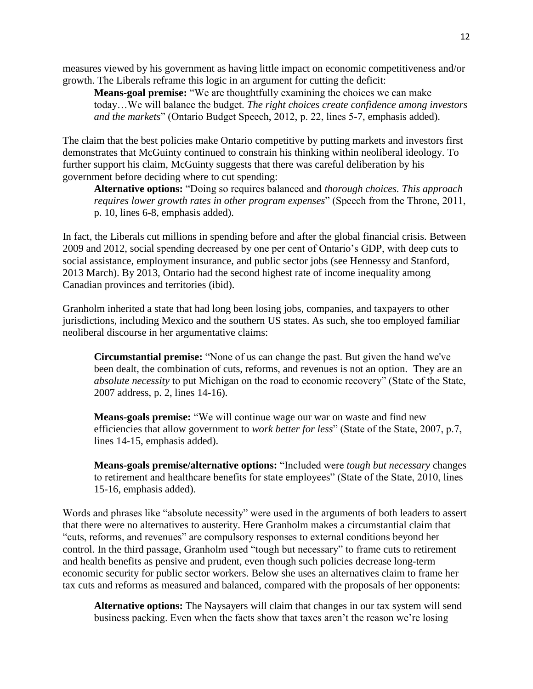measures viewed by his government as having little impact on economic competitiveness and/or growth. The Liberals reframe this logic in an argument for cutting the deficit:

**Means-goal premise:** "We are thoughtfully examining the choices we can make today…We will balance the budget. *The right choices create confidence among investors and the markets*" (Ontario Budget Speech, 2012, p. 22, lines 5-7, emphasis added).

The claim that the best policies make Ontario competitive by putting markets and investors first demonstrates that McGuinty continued to constrain his thinking within neoliberal ideology. To further support his claim, McGuinty suggests that there was careful deliberation by his government before deciding where to cut spending:

**Alternative options:** "Doing so requires balanced and *thorough choices. This approach requires lower growth rates in other program expenses*" (Speech from the Throne, 2011, p. 10, lines 6-8, emphasis added).

In fact, the Liberals cut millions in spending before and after the global financial crisis. Between 2009 and 2012, social spending decreased by one per cent of Ontario's GDP, with deep cuts to social assistance, employment insurance, and public sector jobs (see Hennessy and Stanford, 2013 March). By 2013, Ontario had the second highest rate of income inequality among Canadian provinces and territories (ibid).

Granholm inherited a state that had long been losing jobs, companies, and taxpayers to other jurisdictions, including Mexico and the southern US states. As such, she too employed familiar neoliberal discourse in her argumentative claims:

**Circumstantial premise:** "None of us can change the past. But given the hand we've been dealt, the combination of cuts, reforms, and revenues is not an option. They are an *absolute necessity* to put Michigan on the road to economic recovery" (State of the State, 2007 address, p. 2, lines 14-16).

**Means-goals premise:** "We will continue wage our war on waste and find new efficiencies that allow government to *work better for less*" (State of the State, 2007, p.7, lines 14-15, emphasis added).

**Means-goals premise/alternative options:** "Included were *tough but necessary* changes to retirement and healthcare benefits for state employees" (State of the State, 2010, lines 15-16, emphasis added).

Words and phrases like "absolute necessity" were used in the arguments of both leaders to assert that there were no alternatives to austerity. Here Granholm makes a circumstantial claim that "cuts, reforms, and revenues" are compulsory responses to external conditions beyond her control. In the third passage, Granholm used "tough but necessary" to frame cuts to retirement and health benefits as pensive and prudent, even though such policies decrease long-term economic security for public sector workers. Below she uses an alternatives claim to frame her tax cuts and reforms as measured and balanced, compared with the proposals of her opponents:

**Alternative options:** The Naysayers will claim that changes in our tax system will send business packing. Even when the facts show that taxes aren't the reason we're losing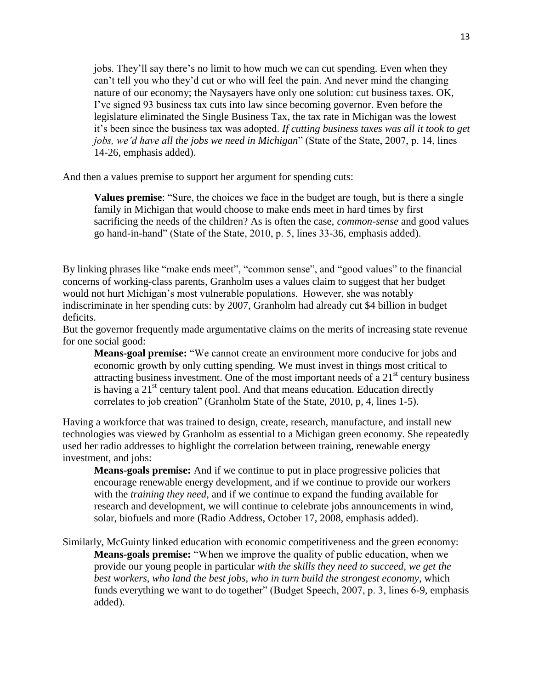jobs. They'll say there's no limit to how much we can cut spending. Even when they can't tell you who they'd cut or who will feel the pain. And never mind the changing nature of our economy; the Naysayers have only one solution: cut business taxes. OK, I've signed 93 business tax cuts into law since becoming governor. Even before the legislature eliminated the Single Business Tax, the tax rate in Michigan was the lowest it's been since the business tax was adopted. *If cutting business taxes was all it took to get jobs, we'd have all the jobs we need in Michigan*" (State of the State, 2007, p. 14, lines 14-26, emphasis added).

And then a values premise to support her argument for spending cuts:

**Values premise**: "Sure, the choices we face in the budget are tough, but is there a single family in Michigan that would choose to make ends meet in hard times by first sacrificing the needs of the children? As is often the case, *common-sense* and good values go hand-in-hand" (State of the State, 2010, p. 5, lines 33-36, emphasis added).

By linking phrases like "make ends meet", "common sense", and "good values" to the financial concerns of working-class parents, Granholm uses a values claim to suggest that her budget would not hurt Michigan's most vulnerable populations. However, she was notably indiscriminate in her spending cuts: by 2007, Granholm had already cut \$4 billion in budget deficits.

But the governor frequently made argumentative claims on the merits of increasing state revenue for one social good:

**Means-goal premise:** "We cannot create an environment more conducive for jobs and economic growth by only cutting spending. We must invest in things most critical to attracting business investment. One of the most important needs of a  $21<sup>st</sup>$  century business is having a  $21<sup>st</sup>$  century talent pool. And that means education. Education directly correlates to job creation" (Granholm State of the State, 2010, p, 4, lines 1-5).

Having a workforce that was trained to design, create, research, manufacture, and install new technologies was viewed by Granholm as essential to a Michigan green economy. She repeatedly used her radio addresses to highlight the correlation between training, renewable energy investment, and jobs:

**Means-goals premise:** And if we continue to put in place progressive policies that encourage renewable energy development, and if we continue to provide our workers with the *training they need*, and if we continue to expand the funding available for research and development, we will continue to celebrate jobs announcements in wind, solar, biofuels and more (Radio Address, October 17, 2008, emphasis added).

Similarly, McGuinty linked education with economic competitiveness and the green economy: **Means-goals premise:** "When we improve the quality of public education, when we provide our young people in particular *with the skills they need to succeed, we get the best workers, who land the best jobs, who in turn build the strongest economy*, which funds everything we want to do together" (Budget Speech, 2007, p. 3, lines 6-9, emphasis added).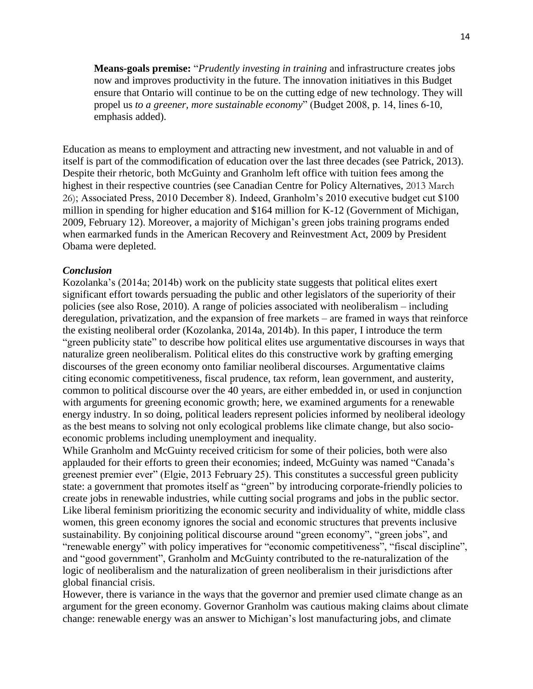**Means-goals premise:** "*Prudently investing in training* and infrastructure creates jobs now and improves productivity in the future. The innovation initiatives in this Budget ensure that Ontario will continue to be on the cutting edge of new technology. They will propel us *to a greener, more sustainable economy*" (Budget 2008, p. 14, lines 6-10, emphasis added).

Education as means to employment and attracting new investment, and not valuable in and of itself is part of the commodification of education over the last three decades (see Patrick, 2013). Despite their rhetoric, both McGuinty and Granholm left office with tuition fees among the highest in their respective countries (see Canadian Centre for Policy Alternatives, 2013 March 26); Associated Press, 2010 December 8). Indeed, Granholm's 2010 executive budget cut \$100 million in spending for higher education and \$164 million for K-12 (Government of Michigan, 2009, February 12). Moreover, a majority of Michigan's green jobs training programs ended when earmarked funds in the American Recovery and Reinvestment Act, 2009 by President Obama were depleted.

### *Conclusion*

Kozolanka's (2014a; 2014b) work on the publicity state suggests that political elites exert significant effort towards persuading the public and other legislators of the superiority of their policies (see also Rose, 2010). A range of policies associated with neoliberalism – including deregulation, privatization, and the expansion of free markets – are framed in ways that reinforce the existing neoliberal order (Kozolanka, 2014a, 2014b). In this paper, I introduce the term "green publicity state" to describe how political elites use argumentative discourses in ways that naturalize green neoliberalism. Political elites do this constructive work by grafting emerging discourses of the green economy onto familiar neoliberal discourses. Argumentative claims citing economic competitiveness, fiscal prudence, tax reform, lean government, and austerity, common to political discourse over the 40 years, are either embedded in, or used in conjunction with arguments for greening economic growth; here, we examined arguments for a renewable energy industry. In so doing, political leaders represent policies informed by neoliberal ideology as the best means to solving not only ecological problems like climate change, but also socioeconomic problems including unemployment and inequality.

While Granholm and McGuinty received criticism for some of their policies, both were also applauded for their efforts to green their economies; indeed, McGuinty was named "Canada's greenest premier ever" (Elgie, 2013 February 25). This constitutes a successful green publicity state: a government that promotes itself as "green" by introducing corporate-friendly policies to create jobs in renewable industries, while cutting social programs and jobs in the public sector. Like liberal feminism prioritizing the economic security and individuality of white, middle class women, this green economy ignores the social and economic structures that prevents inclusive sustainability. By conjoining political discourse around "green economy", "green jobs", and "renewable energy" with policy imperatives for "economic competitiveness", "fiscal discipline", and "good government", Granholm and McGuinty contributed to the re*-*naturalization of the logic of neoliberalism and the naturalization of green neoliberalism in their jurisdictions after global financial crisis.

However, there is variance in the ways that the governor and premier used climate change as an argument for the green economy. Governor Granholm was cautious making claims about climate change: renewable energy was an answer to Michigan's lost manufacturing jobs, and climate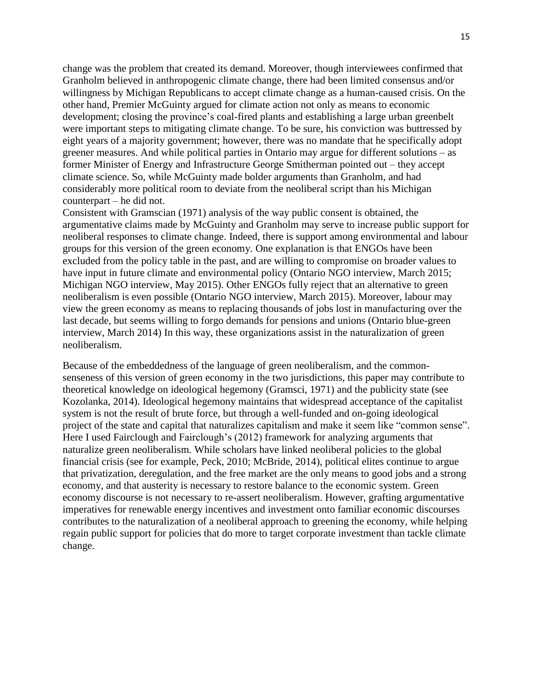change was the problem that created its demand. Moreover, though interviewees confirmed that Granholm believed in anthropogenic climate change, there had been limited consensus and/or willingness by Michigan Republicans to accept climate change as a human-caused crisis. On the other hand, Premier McGuinty argued for climate action not only as means to economic development; closing the province's coal-fired plants and establishing a large urban greenbelt were important steps to mitigating climate change. To be sure, his conviction was buttressed by eight years of a majority government; however, there was no mandate that he specifically adopt greener measures. And while political parties in Ontario may argue for different solutions – as former Minister of Energy and Infrastructure George Smitherman pointed out – they accept climate science. So, while McGuinty made bolder arguments than Granholm, and had considerably more political room to deviate from the neoliberal script than his Michigan counterpart – he did not.

Consistent with Gramscian (1971) analysis of the way public consent is obtained, the argumentative claims made by McGuinty and Granholm may serve to increase public support for neoliberal responses to climate change. Indeed, there is support among environmental and labour groups for this version of the green economy. One explanation is that ENGOs have been excluded from the policy table in the past, and are willing to compromise on broader values to have input in future climate and environmental policy (Ontario NGO interview, March 2015; Michigan NGO interview, May 2015). Other ENGOs fully reject that an alternative to green neoliberalism is even possible (Ontario NGO interview, March 2015). Moreover, labour may view the green economy as means to replacing thousands of jobs lost in manufacturing over the last decade, but seems willing to forgo demands for pensions and unions (Ontario blue-green interview, March 2014) In this way, these organizations assist in the naturalization of green neoliberalism.

Because of the embeddedness of the language of green neoliberalism, and the commonsenseness of this version of green economy in the two jurisdictions, this paper may contribute to theoretical knowledge on ideological hegemony (Gramsci, 1971) and the publicity state (see Kozolanka, 2014). Ideological hegemony maintains that widespread acceptance of the capitalist system is not the result of brute force, but through a well-funded and on-going ideological project of the state and capital that naturalizes capitalism and make it seem like "common sense". Here I used Fairclough and Fairclough's (2012) framework for analyzing arguments that naturalize green neoliberalism. While scholars have linked neoliberal policies to the global financial crisis (see for example, Peck, 2010; McBride, 2014), political elites continue to argue that privatization, deregulation, and the free market are the only means to good jobs and a strong economy, and that austerity is necessary to restore balance to the economic system. Green economy discourse is not necessary to re-assert neoliberalism. However, grafting argumentative imperatives for renewable energy incentives and investment onto familiar economic discourses contributes to the naturalization of a neoliberal approach to greening the economy, while helping regain public support for policies that do more to target corporate investment than tackle climate change.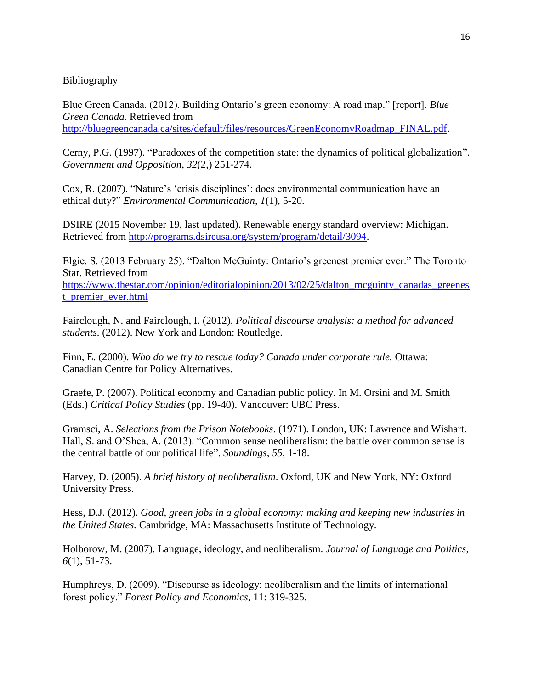## Bibliography

Blue Green Canada. (2012). Building Ontario's green economy: A road map." [report]. *Blue Green Canada.* Retrieved from [http://bluegreencanada.ca/sites/default/files/resources/GreenEconomyRoadmap\\_FINAL.pdf.](http://bluegreencanada.ca/sites/default/files/resources/GreenEconomyRoadmap_FINAL.pdf)

Cerny, P.G. (1997). "Paradoxes of the competition state: the dynamics of political globalization". *Government and Opposition*, *32*(2,) 251-274.

Cox, R. (2007). "Nature's 'crisis disciplines': does environmental communication have an ethical duty?" *Environmental Communication*, *1*(1), 5-20.

DSIRE (2015 November 19, last updated). Renewable energy standard overview: Michigan. Retrieved from [http://programs.dsireusa.org/system/program/detail/3094.](http://programs.dsireusa.org/system/program/detail/3094)

Elgie. S. (2013 February 25). "Dalton McGuinty: Ontario's greenest premier ever." The Toronto Star. Retrieved from

[https://www.thestar.com/opinion/editorialopinion/2013/02/25/dalton\\_mcguinty\\_canadas\\_greenes](https://www.thestar.com/opinion/editorialopinion/2013/02/25/dalton_mcguinty_canadas_greenest_premier_ever.html) [t\\_premier\\_ever.html](https://www.thestar.com/opinion/editorialopinion/2013/02/25/dalton_mcguinty_canadas_greenest_premier_ever.html)

Fairclough, N. and Fairclough, I. (2012). *Political discourse analysis: a method for advanced students*. (2012). New York and London: Routledge.

Finn, E. (2000). *Who do we try to rescue today? Canada under corporate rule.* Ottawa: Canadian Centre for Policy Alternatives.

Graefe, P. (2007). Political economy and Canadian public policy. In M. Orsini and M. Smith (Eds.) *Critical Policy Studies* (pp. 19-40). Vancouver: UBC Press.

Gramsci, A. *Selections from the Prison Notebooks*. (1971). London, UK: Lawrence and Wishart. Hall, S. and O'Shea, A. (2013). "Common sense neoliberalism: the battle over common sense is the central battle of our political life". *Soundings, 55*, 1-18.

Harvey, D. (2005). *A brief history of neoliberalism*. Oxford, UK and New York, NY: Oxford University Press.

Hess, D.J. (2012). *Good, green jobs in a global economy: making and keeping new industries in the United States.* Cambridge, MA: Massachusetts Institute of Technology.

Holborow, M. (2007). Language, ideology, and neoliberalism. *Journal of Language and Politics*, *6*(1), 51-73.

Humphreys, D. (2009). "Discourse as ideology: neoliberalism and the limits of international forest policy." *Forest Policy and Economics*, 11: 319-325.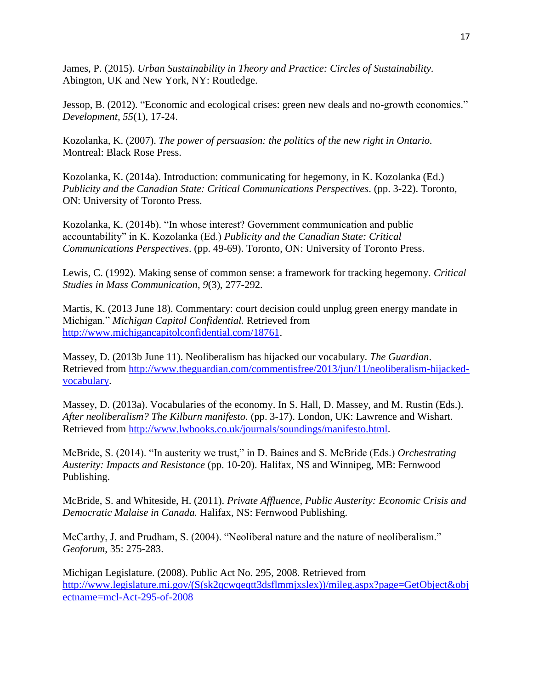James, P. (2015). *Urban Sustainability in Theory and Practice: Circles of Sustainability.* Abington, UK and New York, NY: Routledge.

Jessop, B. (2012). "Economic and ecological crises: green new deals and no-growth economies." *Development, 55*(1), 17-24.

Kozolanka, K. (2007). *The power of persuasion: the politics of the new right in Ontario.* Montreal: Black Rose Press.

Kozolanka, K. (2014a). Introduction: communicating for hegemony, in K. Kozolanka (Ed.) *Publicity and the Canadian State: Critical Communications Perspectives*. (pp. 3-22). Toronto, ON: University of Toronto Press.

Kozolanka, K. (2014b). "In whose interest? Government communication and public accountability" in K. Kozolanka (Ed.) *Publicity and the Canadian State: Critical Communications Perspectives*. (pp. 49-69). Toronto, ON: University of Toronto Press.

Lewis, C. (1992). Making sense of common sense: a framework for tracking hegemony. *Critical Studies in Mass Communication*, *9*(3), 277-292.

Martis, K. (2013 June 18). Commentary: court decision could unplug green energy mandate in Michigan." *Michigan Capitol Confidential.* Retrieved from [http://www.michigancapitolconfidential.com/18761.](http://www.michigancapitolconfidential.com/18761)

Massey, D. (2013b June 11). Neoliberalism has hijacked our vocabulary. *The Guardian*. Retrieved from [http://www.theguardian.com/commentisfree/2013/jun/11/neoliberalism-hijacked](http://www.theguardian.com/commentisfree/2013/jun/11/neoliberalism-hijacked-vocabulary)[vocabulary.](http://www.theguardian.com/commentisfree/2013/jun/11/neoliberalism-hijacked-vocabulary)

Massey, D. (2013a). Vocabularies of the economy. In S. Hall, D. Massey, and M. Rustin (Eds.). *After neoliberalism? The Kilburn manifesto.* (pp. 3-17). London, UK: Lawrence and Wishart. Retrieved from [http://www.lwbooks.co.uk/journals/soundings/manifesto.html.](http://www.lwbooks.co.uk/journals/soundings/manifesto.html)

McBride, S. (2014). "In austerity we trust," in D. Baines and S. McBride (Eds.) *Orchestrating Austerity: Impacts and Resistance* (pp. 10-20). Halifax, NS and Winnipeg, MB: Fernwood Publishing.

McBride, S. and Whiteside, H. (2011). *Private Affluence, Public Austerity: Economic Crisis and Democratic Malaise in Canada.* Halifax, NS: Fernwood Publishing.

McCarthy, J. and Prudham, S. (2004). "Neoliberal nature and the nature of neoliberalism." *Geoforum*, 35: 275-283.

Michigan Legislature. (2008). Public Act No. 295, 2008. Retrieved from [http://www.legislature.mi.gov/\(S\(sk2qcwqeqtt3dsflmmjxslex\)\)/mileg.aspx?page=GetObject&obj](http://www.legislature.mi.gov/(S(sk2qcwqeqtt3dsflmmjxslex))/mileg.aspx?page=GetObject&objectname=mcl-Act-295-of-2008) [ectname=mcl-Act-295-of-2008](http://www.legislature.mi.gov/(S(sk2qcwqeqtt3dsflmmjxslex))/mileg.aspx?page=GetObject&objectname=mcl-Act-295-of-2008)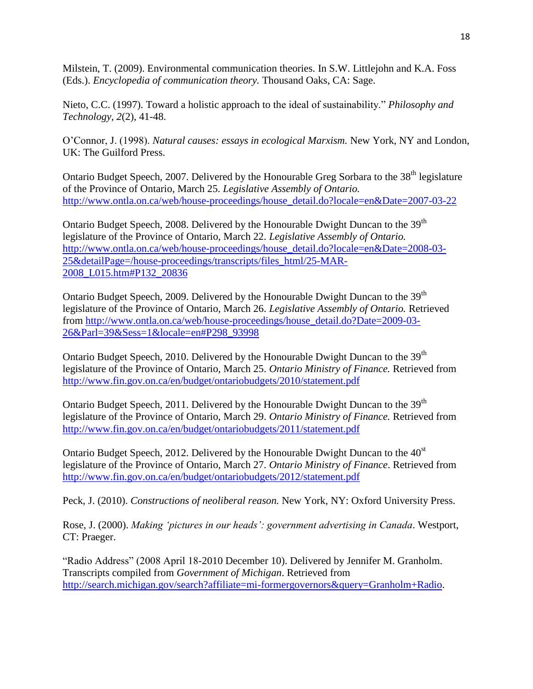Milstein, T. (2009). Environmental communication theories. In S.W. Littlejohn and K.A. Foss (Eds.). *Encyclopedia of communication theory.* Thousand Oaks, CA: Sage.

Nieto, C.C. (1997). Toward a holistic approach to the ideal of sustainability." *Philosophy and Technology, 2*(2), 41-48.

O'Connor, J. (1998). *Natural causes: essays in ecological Marxism.* New York, NY and London, UK: The Guilford Press.

Ontario Budget Speech, 2007. Delivered by the Honourable Greg Sorbara to the 38<sup>th</sup> legislature of the Province of Ontario, March 25. *Legislative Assembly of Ontario.* [http://www.ontla.on.ca/web/house-proceedings/house\\_detail.do?locale=en&Date=2007-03-22](http://www.ontla.on.ca/web/house-proceedings/house_detail.do?locale=en&Date=2007-03-22)

Ontario Budget Speech, 2008. Delivered by the Honourable Dwight Duncan to the 39<sup>th</sup> legislature of the Province of Ontario, March 22. *Legislative Assembly of Ontario.* [http://www.ontla.on.ca/web/house-proceedings/house\\_detail.do?locale=en&Date=2008-03-](http://www.ontla.on.ca/web/house-proceedings/house_detail.do?locale=en&Date=2008-03-25&detailPage=/house-proceedings/transcripts/files_html/25-MAR-2008_L015.htm#P132_20836) [25&detailPage=/house-proceedings/transcripts/files\\_html/25-MAR-](http://www.ontla.on.ca/web/house-proceedings/house_detail.do?locale=en&Date=2008-03-25&detailPage=/house-proceedings/transcripts/files_html/25-MAR-2008_L015.htm#P132_20836)[2008\\_L015.htm#P132\\_20836](http://www.ontla.on.ca/web/house-proceedings/house_detail.do?locale=en&Date=2008-03-25&detailPage=/house-proceedings/transcripts/files_html/25-MAR-2008_L015.htm#P132_20836)

Ontario Budget Speech, 2009. Delivered by the Honourable Dwight Duncan to the 39<sup>th</sup> legislature of the Province of Ontario, March 26. *Legislative Assembly of Ontario.* Retrieved from [http://www.ontla.on.ca/web/house-proceedings/house\\_detail.do?Date=2009-03-](http://www.ontla.on.ca/web/house-proceedings/house_detail.do?Date=2009-03-26&Parl=39&Sess=1&locale=en#P298_93998) [26&Parl=39&Sess=1&locale=en#P298\\_93998](http://www.ontla.on.ca/web/house-proceedings/house_detail.do?Date=2009-03-26&Parl=39&Sess=1&locale=en#P298_93998)

Ontario Budget Speech, 2010. Delivered by the Honourable Dwight Duncan to the  $39<sup>th</sup>$ legislature of the Province of Ontario, March 25. *Ontario Ministry of Finance.* Retrieved from <http://www.fin.gov.on.ca/en/budget/ontariobudgets/2010/statement.pdf>

Ontario Budget Speech, 2011. Delivered by the Honourable Dwight Duncan to the 39<sup>th</sup> legislature of the Province of Ontario, March 29. *Ontario Ministry of Finance.* Retrieved from <http://www.fin.gov.on.ca/en/budget/ontariobudgets/2011/statement.pdf>

Ontario Budget Speech, 2012. Delivered by the Honourable Dwight Duncan to the 40<sup>st</sup> legislature of the Province of Ontario, March 27. *Ontario Ministry of Finance*. Retrieved from <http://www.fin.gov.on.ca/en/budget/ontariobudgets/2012/statement.pdf>

Peck, J. (2010). *Constructions of neoliberal reason.* New York, NY: Oxford University Press.

Rose, J. (2000). *Making 'pictures in our heads': government advertising in Canada*. Westport, CT: Praeger.

"Radio Address" (2008 April 18-2010 December 10). Delivered by Jennifer M. Granholm. Transcripts compiled from *Government of Michigan*. Retrieved from [http://search.michigan.gov/search?affiliate=mi-formergovernors&query=Granholm+Radio.](http://search.michigan.gov/search?affiliate=mi-formergovernors&query=Granholm+Radio)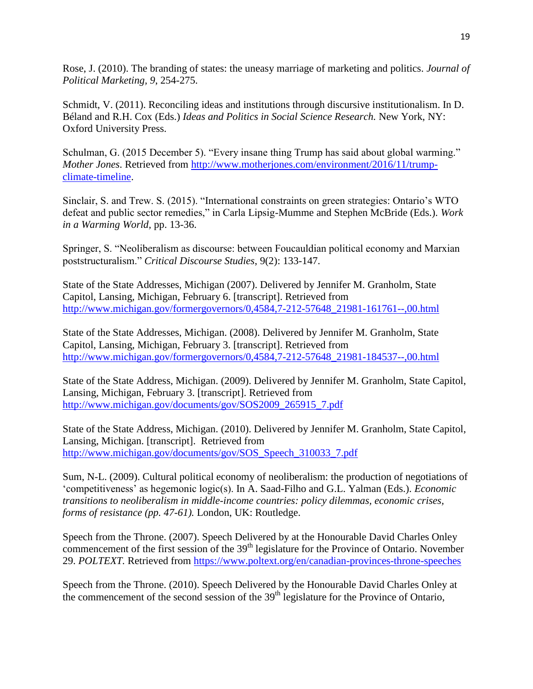Rose, J. (2010). The branding of states: the uneasy marriage of marketing and politics. *Journal of Political Marketing, 9*, 254-275.

Schmidt, V. (2011). Reconciling ideas and institutions through discursive institutionalism. In D. Béland and R.H. Cox (Eds.) *Ideas and Politics in Social Science Research.* New York, NY: Oxford University Press.

Schulman, G. (2015 December 5). "Every insane thing Trump has said about global warming." *Mother Jones*. Retrieved from [http://www.motherjones.com/environment/2016/11/trump](http://www.motherjones.com/environment/2016/11/trump-climate-timeline)[climate-timeline.](http://www.motherjones.com/environment/2016/11/trump-climate-timeline)

Sinclair, S. and Trew. S. (2015). "International constraints on green strategies: Ontario's WTO defeat and public sector remedies," in Carla Lipsig-Mumme and Stephen McBride (Eds.). *Work in a Warming World,* pp. 13-36.

Springer, S. "Neoliberalism as discourse: between Foucauldian political economy and Marxian poststructuralism." *Critical Discourse Studies*, 9(2): 133-147.

State of the State Addresses, Michigan (2007). Delivered by Jennifer M. Granholm, State Capitol, Lansing, Michigan, February 6. [transcript]. Retrieved from [http://www.michigan.gov/formergovernors/0,4584,7-212-57648\\_21981-161761--,00.html](http://www.michigan.gov/formergovernors/0,4584,7-212-57648_21981-161761--,00.html)

State of the State Addresses, Michigan. (2008). Delivered by Jennifer M. Granholm, State Capitol, Lansing, Michigan, February 3. [transcript]. Retrieved from [http://www.michigan.gov/formergovernors/0,4584,7-212-57648\\_21981-184537--,00.html](http://www.michigan.gov/formergovernors/0,4584,7-212-57648_21981-184537--,00.html)

State of the State Address, Michigan. (2009). Delivered by Jennifer M. Granholm, State Capitol, Lansing, Michigan, February 3. [transcript]. Retrieved from [http://www.michigan.gov/documents/gov/SOS2009\\_265915\\_7.pdf](http://www.michigan.gov/documents/gov/SOS2009_265915_7.pdf)

State of the State Address, Michigan. (2010). Delivered by Jennifer M. Granholm, State Capitol, Lansing, Michigan. [transcript]. Retrieved from [http://www.michigan.gov/documents/gov/SOS\\_Speech\\_310033\\_7.pdf](http://www.michigan.gov/documents/gov/SOS_Speech_310033_7.pdf)

Sum, N-L. (2009). Cultural political economy of neoliberalism: the production of negotiations of 'competitiveness' as hegemonic logic(s). In A. Saad-Filho and G.L. Yalman (Eds.). *Economic transitions to neoliberalism in middle-income countries: policy dilemmas, economic crises, forms of resistance (pp. 47-61).* London, UK: Routledge.

Speech from the Throne. (2007). Speech Delivered by at the Honourable David Charles Onley commencement of the first session of the  $39<sup>th</sup>$  legislature for the Province of Ontario. November 29. *POLTEXT.* Retrieved from<https://www.poltext.org/en/canadian-provinces-throne-speeches>

Speech from the Throne. (2010). Speech Delivered by the Honourable David Charles Onley at the commencement of the second session of the 39<sup>th</sup> legislature for the Province of Ontario,